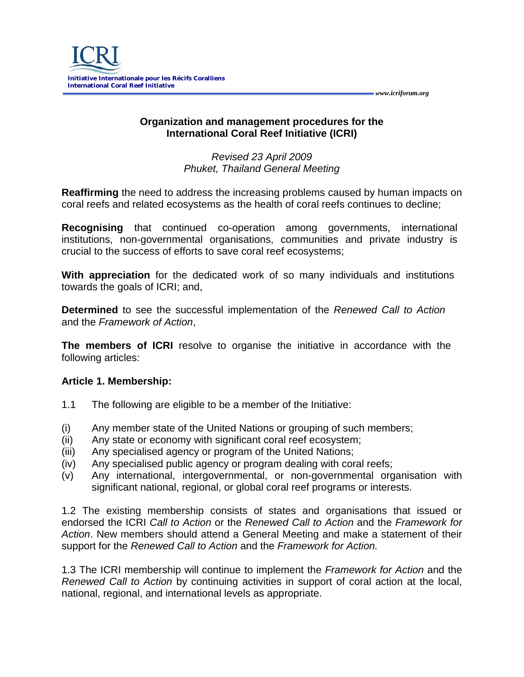

## **Organization and management procedures for the International Coral Reef Initiative (ICRI)**

*Revised 23 April 2009 Phuket, Thailand General Meeting*

**Reaffirming** the need to address the increasing problems caused by human impacts on coral reefs and related ecosystems as the health of coral reefs continues to decline;

**Recognising** that continued co-operation among governments, international institutions, non-governmental organisations, communities and private industry is crucial to the success of efforts to save coral reef ecosystems;

**With appreciation** for the dedicated work of so many individuals and institutions towards the goals of ICRI; and,

**Determined** to see the successful implementation of the *Renewed Call to Action* and the *Framework of Action*,

**The members of ICRI** resolve to organise the initiative in accordance with the following articles:

## **Article 1. Membership:**

- 1.1 The following are eligible to be a member of the Initiative:
- (i) Any member state of the United Nations or grouping of such members;
- (ii) Any state or economy with significant coral reef ecosystem;
- (iii) Any specialised agency or program of the United Nations;
- (iv) Any specialised public agency or program dealing with coral reefs;
- (v) Any international, intergovernmental, or non-governmental organisation with significant national, regional, or global coral reef programs or interests.

1.2 The existing membership consists of states and organisations that issued or endorsed the ICRI *Call to Action* or the *Renewed Call to Action* and the *Framework for Action*. New members should attend a General Meeting and make a statement of their support for the *Renewed Call to Action* and the *Framework for Action.* 

1.3 The ICRI membership will continue to implement the *Framework for Action* and the *Renewed Call to Action* by continuing activities in support of coral action at the local, national, regional, and international levels as appropriate.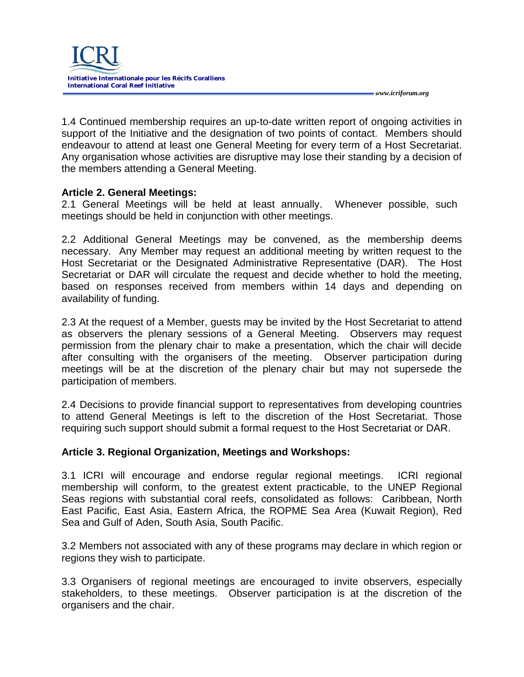

 *www.icriforum.org* 

1.4 Continued membership requires an up-to-date written report of ongoing activities in support of the Initiative and the designation of two points of contact. Members should endeavour to attend at least one General Meeting for every term of a Host Secretariat. Any organisation whose activities are disruptive may lose their standing by a decision of the members attending a General Meeting.

## **Article 2. General Meetings:**

2.1 General Meetings will be held at least annually. Whenever possible, such meetings should be held in conjunction with other meetings.

2.2 Additional General Meetings may be convened, as the membership deems necessary. Any Member may request an additional meeting by written request to the Host Secretariat or the Designated Administrative Representative (DAR). The Host Secretariat or DAR will circulate the request and decide whether to hold the meeting, based on responses received from members within 14 days and depending on availability of funding.

2.3 At the request of a Member, guests may be invited by the Host Secretariat to attend as observers the plenary sessions of a General Meeting. Observers may request permission from the plenary chair to make a presentation, which the chair will decide after consulting with the organisers of the meeting. Observer participation during meetings will be at the discretion of the plenary chair but may not supersede the participation of members.

2.4 Decisions to provide financial support to representatives from developing countries to attend General Meetings is left to the discretion of the Host Secretariat. Those requiring such support should submit a formal request to the Host Secretariat or DAR.

#### **Article 3. Regional Organization, Meetings and Workshops:**

3.1 ICRI will encourage and endorse regular regional meetings. ICRI regional membership will conform, to the greatest extent practicable, to the UNEP Regional Seas regions with substantial coral reefs, consolidated as follows: Caribbean, North East Pacific, East Asia, Eastern Africa, the ROPME Sea Area (Kuwait Region), Red Sea and Gulf of Aden, South Asia, South Pacific.

3.2 Members not associated with any of these programs may declare in which region or regions they wish to participate.

3.3 Organisers of regional meetings are encouraged to invite observers, especially stakeholders, to these meetings. Observer participation is at the discretion of the organisers and the chair.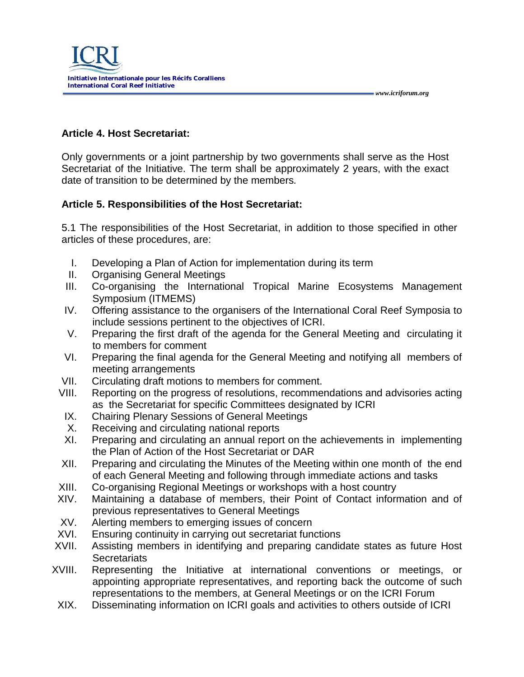

# **Article 4. Host Secretariat:**

Only governments or a joint partnership by two governments shall serve as the Host Secretariat of the Initiative. The term shall be approximately 2 years, with the exact date of transition to be determined by the members*.* 

 *www.icriforum.org* 

# **Article 5. Responsibilities of the Host Secretariat:**

5.1 The responsibilities of the Host Secretariat, in addition to those specified in other articles of these procedures, are:

- I. Developing a Plan of Action for implementation during its term
- II. Organising General Meetings
- III. Co-organising the International Tropical Marine Ecosystems Management Symposium (ITMEMS)
- IV. Offering assistance to the organisers of the International Coral Reef Symposia to include sessions pertinent to the objectives of ICRI.
- V. Preparing the first draft of the agenda for the General Meeting and circulating it to members for comment
- VI. Preparing the final agenda for the General Meeting and notifying all members of meeting arrangements
- VII. Circulating draft motions to members for comment.
- VIII. Reporting on the progress of resolutions, recommendations and advisories acting as the Secretariat for specific Committees designated by ICRI
- IX. Chairing Plenary Sessions of General Meetings
- X. Receiving and circulating national reports
- XI. Preparing and circulating an annual report on the achievements in implementing the Plan of Action of the Host Secretariat or DAR
- XII. Preparing and circulating the Minutes of the Meeting within one month of the end of each General Meeting and following through immediate actions and tasks
- XIII. Co-organising Regional Meetings or workshops with a host country
- XIV. Maintaining a database of members, their Point of Contact information and of previous representatives to General Meetings
- XV. Alerting members to emerging issues of concern
- XVI. Ensuring continuity in carrying out secretariat functions<br>XVII. Assisting members in identifying and preparing candic
- Assisting members in identifying and preparing candidate states as future Host **Secretariats**
- XVIII. Representing the Initiative at international conventions or meetings, or appointing appropriate representatives, and reporting back the outcome of such representations to the members, at General Meetings or on the ICRI Forum
- XIX. Disseminating information on ICRI goals and activities to others outside of ICRI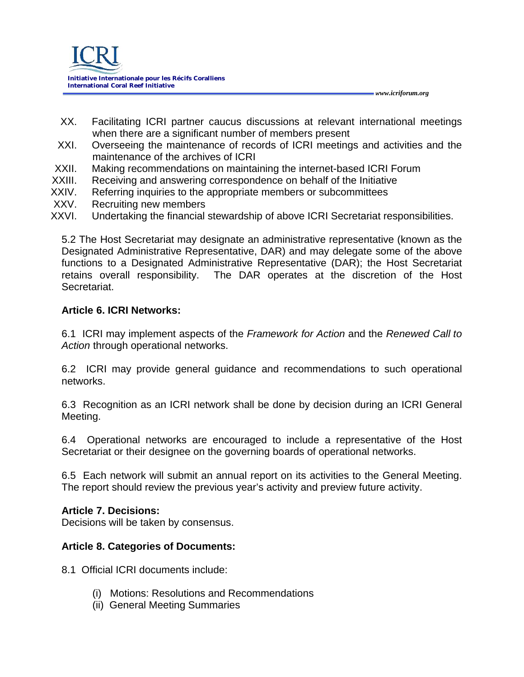

XX. Facilitating ICRI partner caucus discussions at relevant international meetings when there are a significant number of members present

 *www.icriforum.org* 

- XXI. Overseeing the maintenance of records of ICRI meetings and activities and the maintenance of the archives of ICRI
- XXII. Making recommendations on maintaining the internet-based ICRI Forum
- XXIII. Receiving and answering correspondence on behalf of the Initiative
- XXIV. Referring inquiries to the appropriate members or subcommittees
- XXV. Recruiting new members
- XXVI. Undertaking the financial stewardship of above ICRI Secretariat responsibilities.

5.2 The Host Secretariat may designate an administrative representative (known as the Designated Administrative Representative, DAR) and may delegate some of the above functions to a Designated Administrative Representative (DAR); the Host Secretariat The DAR operates at the discretion of the Host Secretariat.

## **Article 6. ICRI Networks:**

6.1 ICRI may implement aspects of the *Framework for Action* and the *Renewed Call to Action* through operational networks.

6.2 ICRI may provide general guidance and recommendations to such operational networks.

6.3 Recognition as an ICRI network shall be done by decision during an ICRI General Meeting.

6.4 Operational networks are encouraged to include a representative of the Host Secretariat or their designee on the governing boards of operational networks.

6.5 Each network will submit an annual report on its activities to the General Meeting. The report should review the previous year's activity and preview future activity.

#### **Article 7. Decisions:**

Decisions will be taken by consensus.

## **Article 8. Categories of Documents:**

- 8.1 Official ICRI documents include:
	- (i) Motions: Resolutions and Recommendations
	- (ii) General Meeting Summaries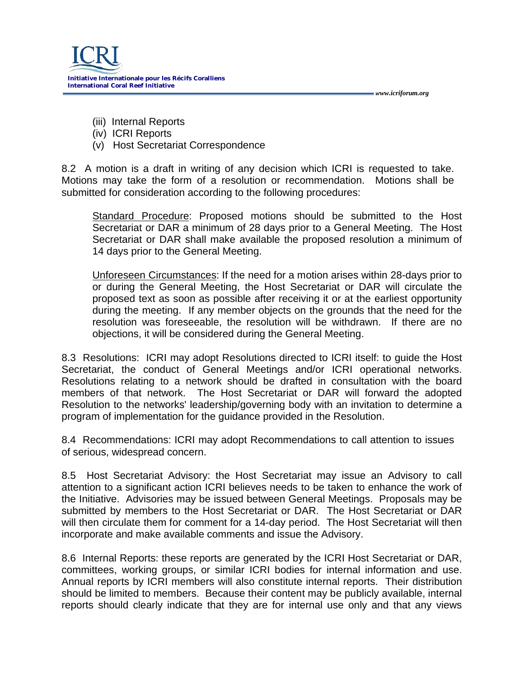

- (iii) Internal Reports
- (iv) ICRI Reports
- (v) Host Secretariat Correspondence

8.2 A motion is a draft in writing of any decision which ICRI is requested to take. Motions may take the form of a resolution or recommendation. Motions shall be submitted for consideration according to the following procedures:

Standard Procedure: Proposed motions should be submitted to the Host Secretariat or DAR a minimum of 28 days prior to a General Meeting. The Host Secretariat or DAR shall make available the proposed resolution a minimum of 14 days prior to the General Meeting.

 *www.icriforum.org* 

Unforeseen Circumstances: If the need for a motion arises within 28-days prior to or during the General Meeting, the Host Secretariat or DAR will circulate the proposed text as soon as possible after receiving it or at the earliest opportunity during the meeting. If any member objects on the grounds that the need for the resolution was foreseeable, the resolution will be withdrawn. If there are no objections, it will be considered during the General Meeting.

8.3 Resolutions: ICRI may adopt Resolutions directed to ICRI itself: to guide the Host Secretariat, the conduct of General Meetings and/or ICRI operational networks. Resolutions relating to a network should be drafted in consultation with the board members of that network. The Host Secretariat or DAR will forward the adopted Resolution to the networks' leadership/governing body with an invitation to determine a program of implementation for the guidance provided in the Resolution.

8.4 Recommendations: ICRI may adopt Recommendations to call attention to issues of serious, widespread concern.

8.5 Host Secretariat Advisory: the Host Secretariat may issue an Advisory to call attention to a significant action ICRI believes needs to be taken to enhance the work of the Initiative. Advisories may be issued between General Meetings. Proposals may be submitted by members to the Host Secretariat or DAR. The Host Secretariat or DAR will then circulate them for comment for a 14-day period. The Host Secretariat will then incorporate and make available comments and issue the Advisory.

8.6 Internal Reports: these reports are generated by the ICRI Host Secretariat or DAR, committees, working groups, or similar ICRI bodies for internal information and use. Annual reports by ICRI members will also constitute internal reports. Their distribution should be limited to members. Because their content may be publicly available, internal reports should clearly indicate that they are for internal use only and that any views